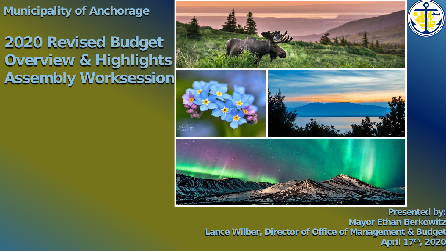**Municipality of Anchorage**

**2020 Revised Budget Overview & Highlights Assembly Worksession**



**Presented by: Mayor Ethan Berkowitz Lance Wilber, Director of Office of Management & Budget** 1**April 17th, 2020**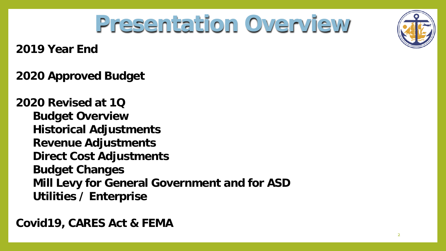

## **Presentation Overview**

**2019 Year End**

**2020 Approved Budget**

**2020 Revised at 1Q Budget Overview Historical Adjustments Revenue Adjustments Direct Cost Adjustments Budget Changes Mill Levy for General Government and for ASD Utilities / Enterprise**

**Covid19, CARES Act & FEMA**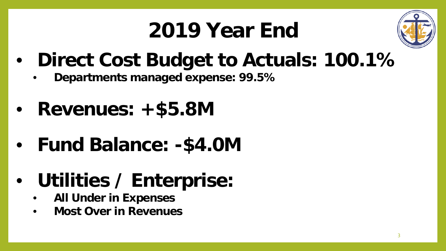## **2019 Year End**



- **Direct Cost Budget to Actuals: 100.1%**
	- **Departments managed expense: 99.5%**
- **Revenues: +\$5.8M**
- **Fund Balance: -\$4.0M**
- **Utilities / Enterprise:**
	- **All Under in Expenses**
	- **Most Over in Revenues**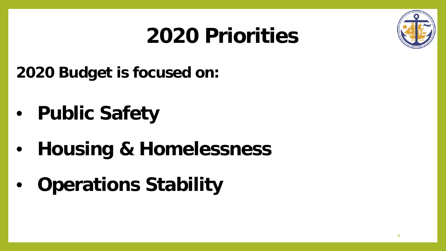

## **2020 Priorities**

**2020 Budget is focused on:**

- **Public Safety**
- **Housing & Homelessness**
- **Operations Stability**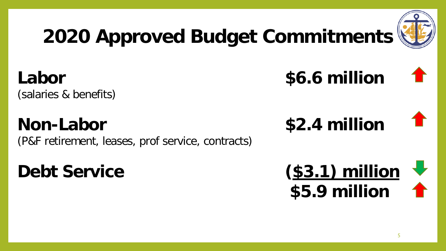

## **2020 Approved Budget Commitments**

**Labor \$6.6 million**

(salaries & benefits)

## **Non-Labor \$2.4 million**

(P&F retirement, leases, prof service, contracts)



5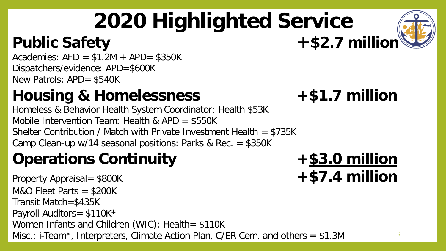# **2020 Highlighted Service**

### Public Safety **+\$2.7 million**

Academies:  $AFD = $1.2M + APD = $350K$ Dispatchers/evidence: APD=\$600K New Patrols: APD= \$540K

## **Housing & Homelessness +\$1.7 million**

Homeless & Behavior Health System Coordinator: Health \$53K Mobile Intervention Team: Health & APD = \$550K Shelter Contribution / Match with Private Investment Health = \$735K Camp Clean-up w/14 seasonal positions: Parks & Rec. = \$350K

### **Operations Continuity +\$3.0 million**

Property Appraisal= \$800K **+\$7.4 million**  $M&O$  Fleet Parts = \$200K Transit Match=\$435K Payroll Auditors= \$110K\* Women Infants and Children (WIC): Health= \$110K Misc.: i-Team\*, Interpreters, Climate Action Plan, C/ER Cem. and others = \$1.3M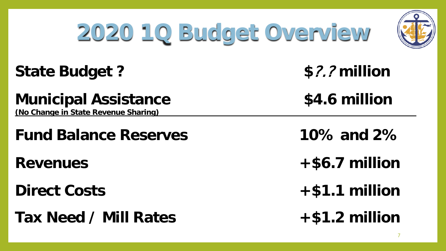# **2020 1Q Budget Overview**



#### **State Budget ? \$**?.? **million**

**Municipal Assistance \$4.6 million**

**(No Change in State Revenue Sharing)**

**Fund Balance Reserves 10% and 2%**

**Tax Need / Mill Rates +\$1.2 million**

**Revenues +\$6.7 million**

**Direct Costs +\$1.1 million**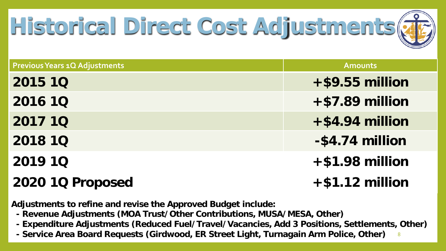

| <b>Previous Years 1Q Adjustments</b> | <b>Amounts</b>     |
|--------------------------------------|--------------------|
| <b>2015 10</b>                       | $+$ \$9.55 million |
| <b>2016 10</b>                       | $+ $7.89$ million  |
| <b>2017 10</b>                       | $+$ \$4.94 million |
| <b>2018 10</b>                       | -\$4.74 million    |
| <b>2019 10</b>                       | $+$ \$1.98 million |
| 2020 1Q Proposed                     | $+ $1.12$ million  |

**Adjustments to refine and revise the Approved Budget include:**

- **- Revenue Adjustments (MOA Trust/Other Contributions, MUSA/MESA, Other)**
- **- Expenditure Adjustments (Reduced Fuel/Travel/Vacancies, Add 3 Positions, Settlements, Other)**
- **- Service Area Board Requests (Girdwood, ER Street Light, Turnagain Arm Police, Other)** <sup>8</sup>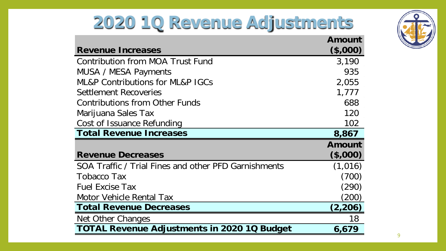## **2020 1Q Revenue Adjustments**

|                                                      | Amount   |
|------------------------------------------------------|----------|
| <b>Revenue Increases</b>                             | (\$,000) |
| Contribution from MOA Trust Fund                     | 3,190    |
| MUSA / MESA Payments                                 | 935      |
| <b>ML&amp;P Contributions for ML&amp;P IGCs</b>      | 2,055    |
| Settlement Recoveries                                | 1,777    |
| <b>Contributions from Other Funds</b>                | 688      |
| Marijuana Sales Tax                                  | 120      |
| Cost of Issuance Refunding                           | 102      |
| <b>Total Revenue Increases</b>                       | 8,867    |
|                                                      | Amount   |
| <b>Revenue Decreases</b>                             | (\$,000) |
| SOA Traffic / Trial Fines and other PFD Garnishments | (1,016)  |
| Tobacco Tax                                          | (700)    |
| <b>Fuel Excise Tax</b>                               | (290)    |
| Motor Vehicle Rental Tax                             | (200)    |
| <b>Total Revenue Decreases</b>                       | (2,206)  |
| Net Other Changes                                    | 18       |
| <b>TOTAL Revenue Adjustments in 2020 1Q Budget</b>   | 6,679    |

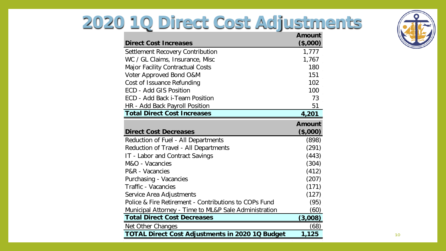## **2020 1Q Direct Cost Adjustments**



| <b>Direct Cost Increases</b>                           | <b>Amount</b><br>(\$,000) |
|--------------------------------------------------------|---------------------------|
| Settlement Recovery Contribution                       | 1,777                     |
| WC / GL Claims, Insurance, Misc                        | 1,767                     |
| <b>Major Facility Contractual Costs</b>                | 180                       |
| Voter Approved Bond O&M                                | 151                       |
| Cost of Issuance Refunding                             | 102                       |
| <b>ECD - Add GIS Position</b>                          | 100                       |
| ECD - Add Back i-Team Position                         | 73                        |
| HR - Add Back Payroll Position                         | 51                        |
| <b>Total Direct Cost Increases</b>                     | 4,201                     |
|                                                        | <b>Amount</b>             |
| <b>Direct Cost Decreases</b>                           | (\$,000)                  |
| Reduction of Fuel - All Departments                    | (898)                     |
| Reduction of Travel - All Departments                  | (291)                     |
| IT - Labor and Contract Savings                        | (443)                     |
| M&O - Vacancies                                        | (304)                     |
| P&R - Vacancies                                        | (412)                     |
| Purchasing - Vacancies                                 | (207)                     |
| <b>Traffic - Vacancies</b>                             | (171)                     |
| Service Area Adjustments                               | (127)                     |
| Police & Fire Retirement - Contributions to COPs Fund  | (95)                      |
| Municipal Attorney - Time to ML&P Sale Administration  | (60)                      |
| <b>Total Direct Cost Decreases</b>                     | (3,008)                   |
| Net Other Changes                                      | (68)                      |
| <b>TOTAL Direct Cost Adjustments in 2020 1Q Budget</b> | 1,125                     |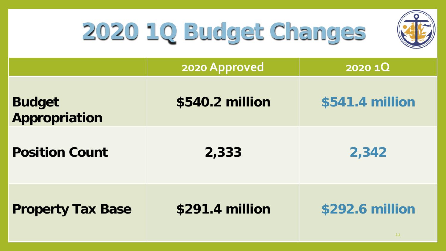

# **2020 1Q Budget Changes**

|                                | 2020 Approved   | 2020 1Q               |
|--------------------------------|-----------------|-----------------------|
| <b>Budget</b><br>Appropriation | \$540.2 million | \$541.4 million       |
| <b>Position Count</b>          | 2,333           | 2,342                 |
| <b>Property Tax Base</b>       | \$291.4 million | \$292.6 million<br>11 |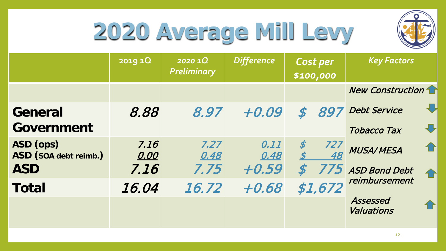

## **2020 Average Mill Levy**

|                                    | 2019 1Q      | 2020 10<br><b>Preliminary</b> | <b>Difference</b> | Cost per<br>\$100,000             | <b>Key Factors</b>                            |
|------------------------------------|--------------|-------------------------------|-------------------|-----------------------------------|-----------------------------------------------|
|                                    |              |                               |                   |                                   | <b>New Construction</b>                       |
| General                            | 8.88         | 8.97                          | $+0.09$           | 897<br>$\boldsymbol{\mathcal{S}}$ | $\bigoplus$<br><b>Debt Service</b>            |
| Government                         |              |                               |                   |                                   | $\color{red} \bigoplus$<br><b>Tobacco Tax</b> |
| ASD (ops)<br>ASD (SOA debt reimb.) | 7.16<br>0.00 | 7.27<br>0.48                  | 0.11<br>0.48      | $\boldsymbol{\mathcal{S}}$<br>727 | ⇧<br><b>MUSA/MESA</b>                         |
| <b>ASD</b>                         | 7.16         | 7.75                          | $+0.59$           |                                   | 775 ASD Bond Debt<br>企                        |
| <b>Total</b>                       | 16.04        | 16.72                         | $+0.68$           | \$1,672                           | reimbursement                                 |
|                                    |              |                               |                   |                                   | Assessed<br>Valuations                        |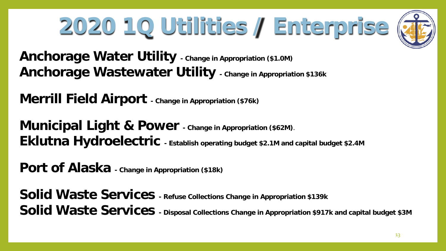# **2020 1Q Utilities / Enterprise**



**Anchorage Water Utility - Change in Appropriation (\$1.0M) Anchorage Wastewater Utility - Change in Appropriation \$136k**

**Merrill Field Airport - Change in Appropriation (\$76k)**

**Municipal Light & Power - Change in Appropriation (\$62M)**. **Eklutna Hydroelectric - Establish operating budget \$2.1M and capital budget \$2.4M**

**Port of Alaska - Change in Appropriation (\$18k)**

**Solid Waste Services - Refuse Collections Change in Appropriation \$139k Solid Waste Services - Disposal Collections Change in Appropriation \$917k and capital budget \$3M**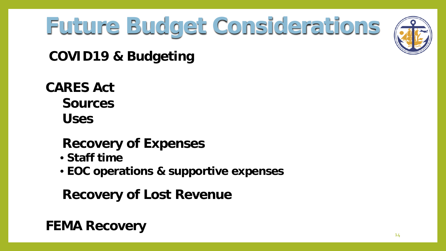

# **Future Budget Considerations**

**COVID19 & Budgeting**

**CARES Act Sources Uses**

#### **Recovery of Expenses**

- **Staff time**
- **EOC operations & supportive expenses**

**Recovery of Lost Revenue**

#### **FEMA Recovery**